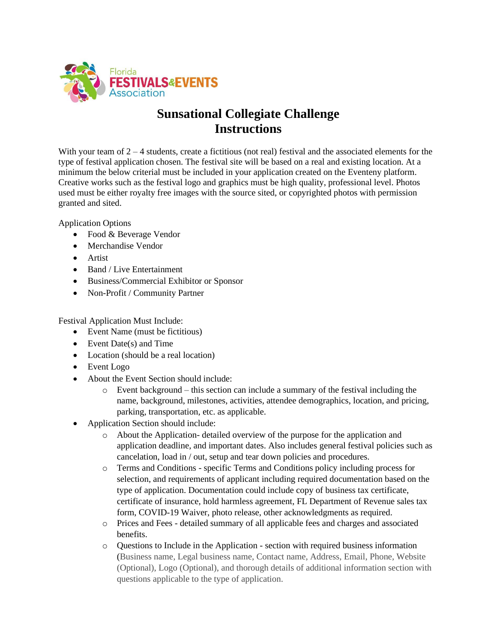

## **Sunsational Collegiate Challenge Instructions**

With your team of  $2 - 4$  students, create a fictitious (not real) festival and the associated elements for the type of festival application chosen. The festival site will be based on a real and existing location. At a minimum the below criterial must be included in your application created on the Eventeny platform. Creative works such as the festival logo and graphics must be high quality, professional level. Photos used must be either royalty free images with the source sited, or copyrighted photos with permission granted and sited.

Application Options

- Food & Beverage Vendor
- Merchandise Vendor
- Artist
- Band / Live Entertainment
- Business/Commercial Exhibitor or Sponsor
- Non-Profit / Community Partner

Festival Application Must Include:

- Event Name (must be fictitious)
- Event Date(s) and Time
- Location (should be a real location)
- Event Logo
- About the Event Section should include:
	- $\circ$  Event background this section can include a summary of the festival including the name, background, milestones, activities, attendee demographics, location, and pricing, parking, transportation, etc. as applicable.
- Application Section should include:
	- o About the Application- detailed overview of the purpose for the application and application deadline, and important dates. Also includes general festival policies such as cancelation, load in / out, setup and tear down policies and procedures.
	- o Terms and Conditions specific Terms and Conditions policy including process for selection, and requirements of applicant including required documentation based on the type of application. Documentation could include copy of business tax certificate, certificate of insurance, hold harmless agreement, FL Department of Revenue sales tax form, COVID-19 Waiver, photo release, other acknowledgments as required.
	- o Prices and Fees detailed summary of all applicable fees and charges and associated benefits.
	- o Questions to Include in the Application section with required business information (Business name, Legal business name, Contact name, Address, Email, Phone, Website (Optional), Logo (Optional), and thorough details of additional information section with questions applicable to the type of application.